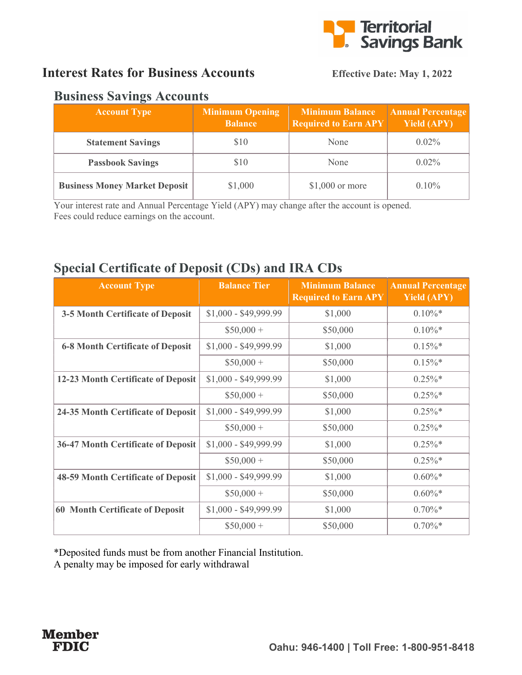

## Interest Rates for Business Accounts Effective Date: May 1, 2022

#### Business Savings Accounts

| <b>Account Type</b>                  | <b>Minimum Opening</b><br><b>Balance</b> | <b>Minimum Balance</b><br><b>Required to Earn APY</b> | <b>Annual Percentage</b><br><b>Yield (APY)</b> |
|--------------------------------------|------------------------------------------|-------------------------------------------------------|------------------------------------------------|
| <b>Statement Savings</b>             | \$10                                     | None                                                  | $0.02\%$                                       |
| <b>Passbook Savings</b>              | \$10                                     | None                                                  | $0.02\%$                                       |
| <b>Business Money Market Deposit</b> | \$1,000                                  | $$1,000$ or more                                      | $0.10\%$                                       |

Your interest rate and Annual Percentage Yield (APY) may change after the account is opened. Fees could reduce earnings on the account.

## Special Certificate of Deposit (CDs) and IRA CDs

| <b>Account Type</b>                       | <b>Balance Tier</b>   | <b>Minimum Balance</b><br><b>Required to Earn APY</b> | <b>Annual Percentage</b><br><b>Yield (APY)</b> |
|-------------------------------------------|-----------------------|-------------------------------------------------------|------------------------------------------------|
| 3-5 Month Certificate of Deposit          | $$1,000 - $49,999.99$ | \$1,000                                               | $0.10\%$ *                                     |
|                                           | $$50,000 +$           | \$50,000                                              | $0.10\%$ *                                     |
| <b>6-8 Month Certificate of Deposit</b>   | $$1,000 - $49,999.99$ | \$1,000                                               | $0.15\%$ *                                     |
|                                           | $$50,000+$            | \$50,000                                              | $0.15\%$ *                                     |
| 12-23 Month Certificate of Deposit        | $$1,000 - $49,999.99$ | \$1,000                                               | $0.25\%$ *                                     |
|                                           | $$50,000 +$           | \$50,000                                              | $0.25\%$ *                                     |
| 24-35 Month Certificate of Deposit        | $$1,000 - $49,999.99$ | \$1,000                                               | $0.25\%$ *                                     |
|                                           | $$50,000+$            | \$50,000                                              | $0.25\%$ *                                     |
| <b>36-47 Month Certificate of Deposit</b> | $$1,000 - $49,999.99$ | \$1,000                                               | $0.25\%$ *                                     |
|                                           | $$50,000+$            | \$50,000                                              | $0.25\%*$                                      |
| <b>48-59 Month Certificate of Deposit</b> | $$1,000 - $49,999.99$ | \$1,000                                               | $0.60\%*$                                      |
|                                           | $$50,000+$            | \$50,000                                              | $0.60\%$ *                                     |
| <b>60 Month Certificate of Deposit</b>    | $$1,000 - $49,999.99$ | \$1,000                                               | $0.70\%*$                                      |
|                                           | $$50,000 +$           | \$50,000                                              | $0.70\%*$                                      |

\*Deposited funds must be from another Financial Institution.

A penalty may be imposed for early withdrawal